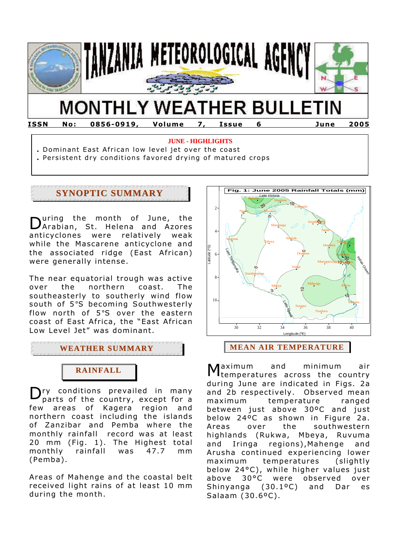

**ISSN No: 0856-0919, Volume 7, Issue 6 June 2005**

#### **JUNE - HIGHLIGHTS**

**.** Dominant East African low level jet over the coast

**.** Persistent dry conditions favored drying of matured crops

# **SYNOPTIC SUMMARY**

uring the month of June, the During the month of June, the<br>DArabian, St. Helena and Azores anticyclones were relatively weak while the Mascarene anticyclone and the associated ridge (East African) were generally intense.

The near equatorial trough was active over the northern coast. The southeasterly to southerly wind flow south of 5°S becoming Southwesterly flow north of 5°S over the eastern coast of East Africa, the "East African Low Level Jet" was dominant.

**WEATHER SUMMARY**



 $\mathbf{D}_{\text{parts of the country, except for a}}$ parts of the country, except for a few areas of Kagera region and northern coast including the islands of Zanzibar and Pemba where the monthly rainfall record was at least 20 mm (Fig. 1). The Highest total monthly rainfall was 47.7 mm (Pemba).

Areas of Mahenge and the coastal belt received light rains of at least 10 mm during the month.



aximum and minimum air temperatures across the country during June are indicated in Figs. 2a and 2b respectively. Observed mean maximum temperature ranged between just above 30ºC and just below 24ºC as shown in Figure 2a. Areas over the southwestern highlands (Rukwa, Mbeya, Ruvuma and Iringa regions),Mahenge and Arusha continued experiencing lower maximum temperatures (slightly below 24°C), while higher values just above 30°C were observed over Shinyanga (30.1ºC) and Dar es Salaam (30.6ºC). M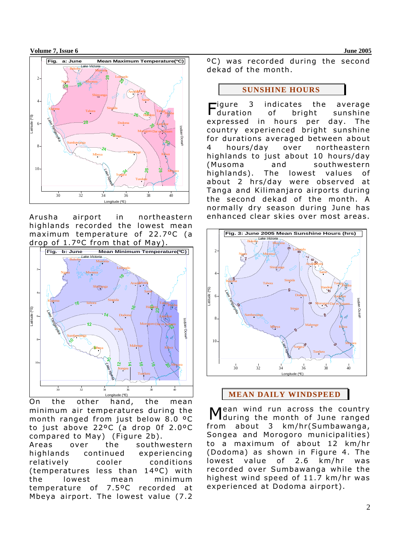**Volume 7, Issue 6 June 2005** 



Arusha airport in northeastern highlands recorded the lowest mean maximum temperature of 22.7ºC (a drop of 1.7ºC from that of May).



On the other hand, the mean minimum air temperatures during the month ranged from just below 8.0 ºC to just above 22ºC (a drop 0f 2.0ºC compared to May) (Figure 2b).

Areas over the southwestern highlands continued experiencing relatively cooler conditions (temperatures less than 14ºC) with the lowest mean minimum temperature of 7.5ºC recorded at Mbeya airport. The lowest value (7.2

ºC) was recorded during the second dekad of the month.

#### **SUNSHINE HOURS**

igure 3 indicates the average of bright sunshine expressed in hours per day. The country experienced bright sunshine for durations averaged between about 4 hours/day over northeastern highlands to just about 10 hours/day (Musoma and southwestern highlands). The lowest values of about 2 hrs/day were observed at Tanga and Kilimanjaro airports during the second dekad of the month. A normally dry season during June has enhanced clear skies over most areas. duration



**MEAN DAILY WINDSPEED**

ean wind run across the country Mean wind run across the country<br>Mduring the month of June ranged from about 3 km/hr(Sumbawanga, Songea and Morogoro municipalities) to a maximum of about 12 km/hr (Dodoma) as shown in Figure 4. The lowest value of 2.6 km/hr was recorded over Sumbawanga while the highest wind speed of 11.7 km/hr was experienced at Dodoma airport).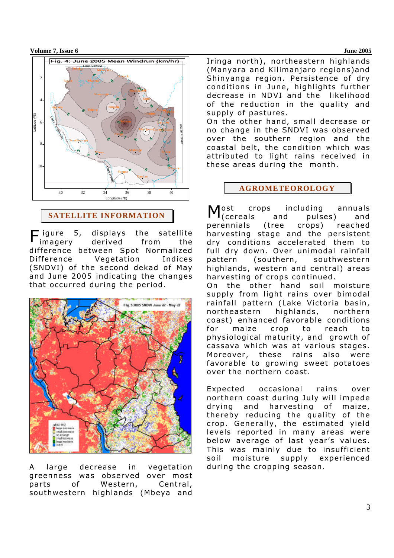#### **Volume 7, Issue 6 June 2005**



# **SATELLITE INFORMATION**

5, displays the satellite imagery derived from the difference between Spot Normalized Difference Vegetation Indices (SNDVI) of the second dekad of May and June 2005 indicating the changes that occurred during the period.  $\bar{\phantom{a}}$  iqure



A large decrease in vegetation greenness was observed over most parts of Western, Central, southwestern highlands (Mbeya and

Iringa north), northeastern highlands (Manyara and Kilimanjaro regions)and Shinyanga region. Persistence of dry conditions in June, highlights further decrease in NDVI and the likelihood of the reduction in the quality and supply of pastures. On the other hand, small decrease or no change in the SNDVI was observed over the southern region and the coastal belt, the condition which was attributed to light rains received in these areas during the month.

### **AGROMETEOROLOGY**

lost crops including annuals (cereals and pulses) and perennials (tree crops) reached harvesting stage and the persistent dry conditions accelerated them to full dry down. Over unimodal rainfall pattern (southern, southwestern highlands, western and central) areas harvesting of crops continued. On the other hand soil moisture supply from light rains over bimodal rainfall pattern (Lake Victoria basin, northeastern highlands, northern coast) enhanced favorable conditions for maize crop to reach to physiological maturity, and growth of cassava which was at various stages. Moreover, these rains also were favorable to growing sweet potatoes over the northern coast. M

Expected occasional rains over northern coast during July will impede drying and harvesting of maize, thereby reducing the quality of the crop. Generally, the estimated yield levels reported in many areas were below average of last year's values. This was mainly due to insufficient soil moisture supply experienced during the cropping season.